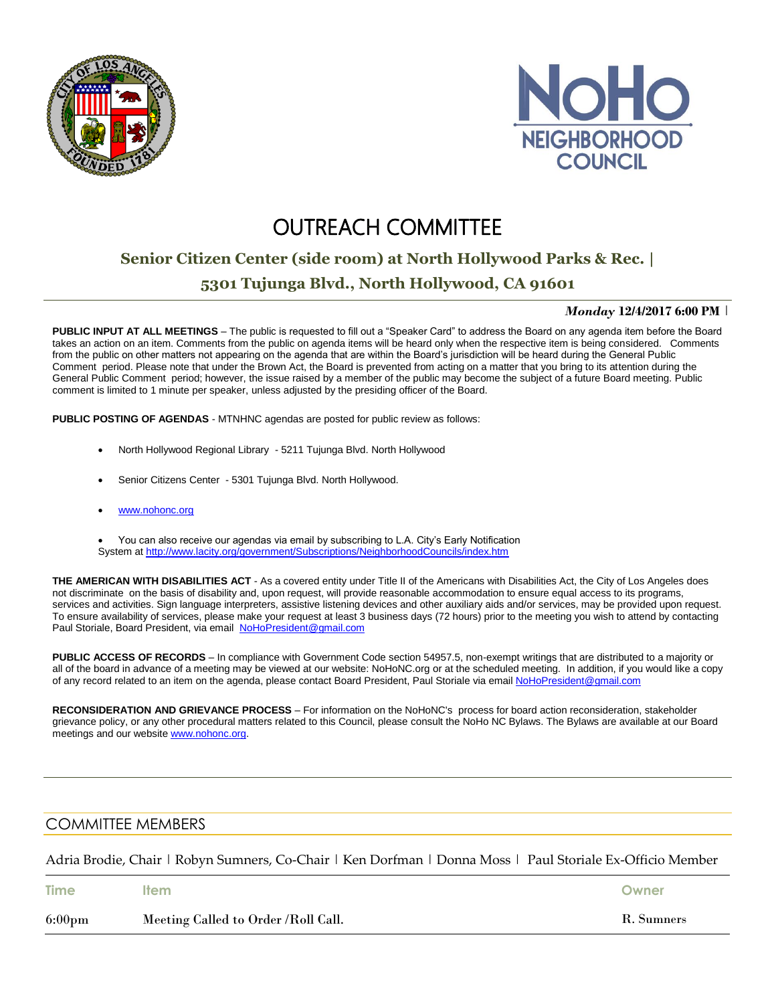



# **OUTREACH COMMITTEE**

## **Senior Citizen Center (side room) at North Hollywood Parks & Rec. |**

## **5301 Tujunga Blvd., North Hollywood, CA 91601**

#### *Monday* **12/4/2017 6:00 PM** |

**PUBLIC INPUT AT ALL MEETINGS** – The public is requested to fill out a "Speaker Card" to address the Board on any agenda item before the Board takes an action on an item. Comments from the public on agenda items will be heard only when the respective item is being considered. Comments from the public on other matters not appearing on the agenda that are within the Board's jurisdiction will be heard during the General Public Comment period. Please note that under the Brown Act, the Board is prevented from acting on a matter that you bring to its attention during the General Public Comment period; however, the issue raised by a member of the public may become the subject of a future Board meeting. Public comment is limited to 1 minute per speaker, unless adjusted by the presiding officer of the Board.

**PUBLIC POSTING OF AGENDAS** - MTNHNC agendas are posted for public review as follows:

- North Hollywood Regional Library 5211 Tujunga Blvd. North Hollywood
- Senior Citizens Center 5301 Tujunga Blvd. North Hollywood.
- [www.nohonc.org](http://www.nohonc.org/)

 You can also receive our agendas via email by subscribing to L.A. City's Early Notification System at <http://www.lacity.org/government/Subscriptions/NeighborhoodCouncils/index.htm>

**THE AMERICAN WITH DISABILITIES ACT** - As a covered entity under Title II of the Americans with Disabilities Act, the City of Los Angeles does not discriminate on the basis of disability and, upon request, will provide reasonable accommodation to ensure equal access to its programs, services and activities. Sign language interpreters, assistive listening devices and other auxiliary aids and/or services, may be provided upon request. To ensure availability of services, please make your request at least 3 business days (72 hours) prior to the meeting you wish to attend by contacting Paul Storiale, Board President, via email [NoHoPresident@gmail.com](mailto:NoHoPresident@gmail.com)

**PUBLIC ACCESS OF RECORDS** – In compliance with Government Code section 54957.5, non-exempt writings that are distributed to a majority or all of the board in advance of a meeting may be viewed at our website: NoHoNC.org or at the scheduled meeting. In addition, if you would like a copy of any record related to an item on the agenda, please contact Board President, Paul Storiale via email [NoHoPresident@gmail.com](mailto:NoHoPresident@gmail.com)

**RECONSIDERATION AND GRIEVANCE PROCESS** – For information on the NoHoNC's process for board action reconsideration, stakeholder grievance policy, or any other procedural matters related to this Council, please consult the NoHo NC Bylaws. The Bylaws are available at our Board meetings and our website [www.nohonc.org.](http://www.nohonc.org/)

### COMMITTEE MEMBERS

Adria Brodie, Chair | Robyn Sumners, Co-Chair | Ken Dorfman | Donna Moss | Paul Storiale Ex-Officio Member

| <b>Time</b>      | <b>Item</b>                         | Owner      |
|------------------|-------------------------------------|------------|
| $6:00 \text{pm}$ | Meeting Called to Order /Roll Call. | R. Sumners |